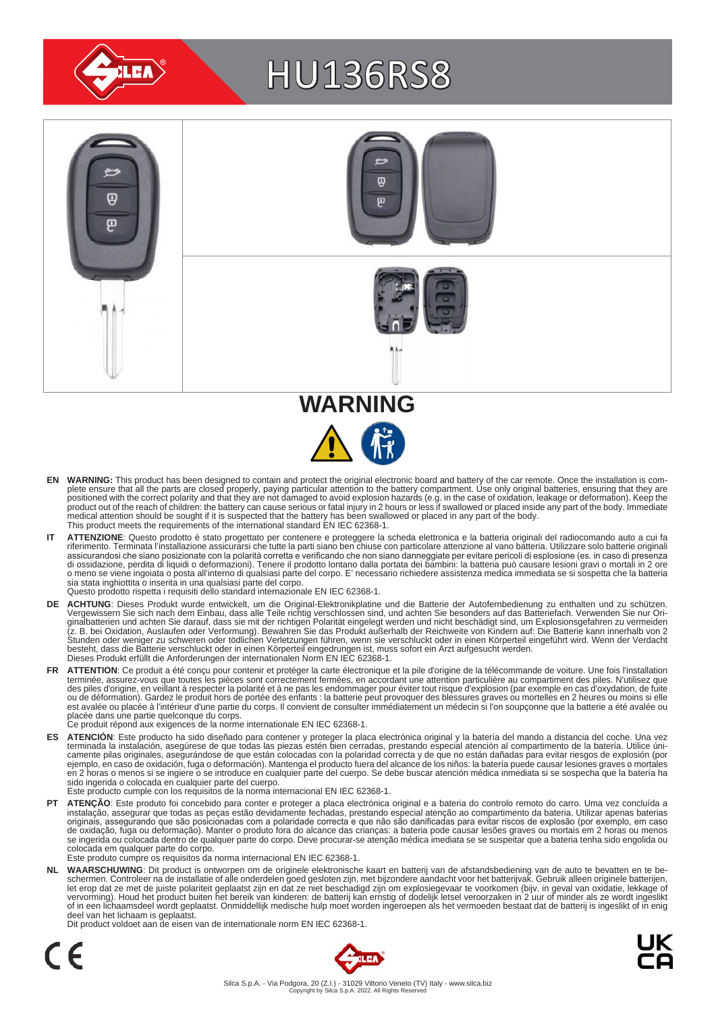

# HU136RS8



- EN WARNING: This product has been designed to contain and protect the original electronic board and battery of the car remote. Once the installation is com-<br>plete ensure that all the parts are closed properly, paying parti positioned with the correct polarity and that they are not damaged to avoid explosion hazards (e.g. in the case of oxidation, leakage or deformation). Keep the<br>product out of the reach of children: the battery can cause se medical attention should be sought if it is suspected that the battery has been swallowed or placed in any part of the body. This product meets the requirements of the international standard EN IEC 62368-1.
- IT ATTENZIONE: Questo prodotto è stato progettato per contenere e proteggere la scheda elettronica e la batteria originali del radiocomando auto a cui fa<br>riferimento. Terminata l'installazione assicurarsi che tutte la part assicurandosi che siano posizionate con la polarità corretta e verificando che non siano danneggiate per evitare pericoli di esplosione (es. in caso di presenza<br>di ossidazione, perdita di liquidi o deformazioni). Tenere il sia stata inghiottita o inserita in una qualsiasi parte del corpo. Questo prodotto rispetta i requisiti dello standard internazionale EN IEC 62368-1.
- **DE ACHTUNG**: Dieses Produkt wurde entwickelt, um die Original-Elektronikplatine und die Batterie der Autofernbedienung zu enthalten und zu schützen.<br>Vergewissern Sie sich nach dem Einbau, dass alle Teile richtig verschlos besteht, dass die Batterie verschluckt oder in einen Körperteil eingedrungen ist, muss sofort ein Arzt aufgesucht werden.<br>Dieses Produkt erfüllt die Anforderungen der internationalen Norm EN IEC 62368-1.
- FR ATTENTION: Ce produit a été conçu pour contenir et protéger la carte électronique et la pile d'origine de la télécommande de voiture. Une fois l'installation terminée, assurez-vous que toutes les pièces sont correctement fermées, en accordant une attention particulière au compartiment des piles. N'utilisez que<br>des piles d'origine, en veillant à respecter la polarité et à ne pas est avalée ou placée à l'intérieur d'une partie du corps. Il convient de consulter immédiatement un médecin si l'on soupçonne que la batterie a été avalée ou<br>placée dans une partie quelconque du corps.<br>Ce produit répond au
	-
- ES ATENCION: Este producto ha sido diseñado para contener y proteger la placa electrónica original y la batería del mando a distancia del coche. Una vez<br>-terminada la instalación, asegúrese de que todas las piezas estén bi camente pilas originales, asegurándose de que están colocadas con la polaridad correcta y de que no están dañadas para evitar riesgos de explosión (por<br>ejemplo, en caso de oxidación, fuga o deformación). Mantenga el produc sido ingerida o colocada en cualquier parte del cuerpo.
- Este producto cumple con los requisitos de la norma internacional EN IEC 62368-1.
- **PT ATENÇAO**: Este produto foi concebido para conter e proteger a placa electrónica original e a bateria do controlo remoto do carro. Uma vez concluída a instalação, assegurar que todas as peças estão devidamente fechadas, colocada em qualquer parte do corpo. Este produto cumpre os requisitos da norma internacional EN IEC 62368-1.

NL WAARSCHUWING: Dit product is ontworpen om de originele elektronische kaart en batterij van de afstandsbediening van de auto te bevatten en te be-<br>schermen. Controleer na de installatie of alle onderdelen goed gesloten z of in een lichaamsdeel wordt geplaatst. Onmiddellijk medische hulp moet worden ingeroepen als het vermoeden bestaat dat de batterij is ingeslikt of in enig deel van het lichaam is geplaatst.

Dit product voldoet aan de eisen van de internationale norm EN IEC 62368-1.